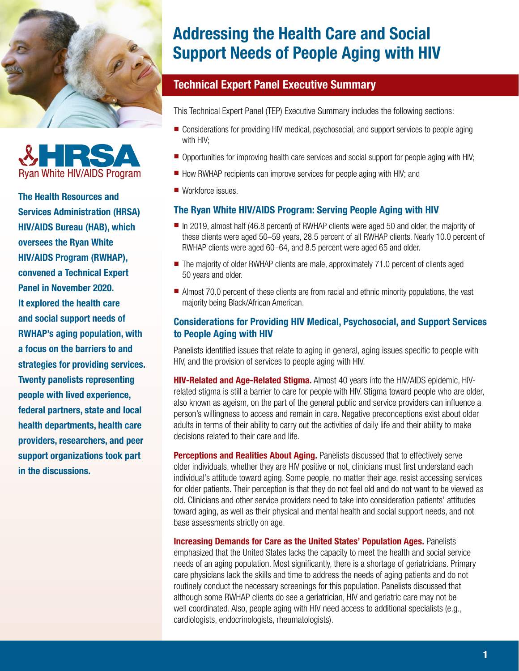



The Health Resources and Services Administration (HRSA) HIV/AIDS Bureau (HAB), which oversees the Ryan White HIV/AIDS Program (RWHAP), convened a Technical Expert Panel in November 2020. It explored the health care and social support needs of RWHAP's aging population, with a focus on the barriers to and strategies for providing services. Twenty panelists representing people with lived experience, federal partners, state and local health departments, health care providers, researchers, and peer support organizations took part in the discussions.

# Addressing the Health Care and Social Support Needs of People Aging with HIV

## Technical Expert Panel Executive Summary

This Technical Expert Panel (TEP) Executive Summary includes the following sections:

- Considerations for providing HIV medical, psychosocial, and support services to people aging with HIV;
- Opportunities for improving health care services and social support for people aging with HIV;
- How RWHAP recipients can improve services for people aging with HIV; and
- Workforce issues.

## The Ryan White HIV/AIDS Program: Serving People Aging with HIV

- In 2019, almost half (46.8 percent) of RWHAP clients were aged 50 and older, the majority of these clients were aged 50–59 years, 28.5 percent of all RWHAP clients. Nearly 10.0 percent of RWHAP clients were aged 60–64, and 8.5 percent were aged 65 and older.
- The majority of older RWHAP clients are male, approximately 71.0 percent of clients aged 50 years and older.
- Almost 70.0 percent of these clients are from racial and ethnic minority populations, the vast majority being Black/African American.

## Considerations for Providing HIV Medical, Psychosocial, and Support Services to People Aging with HIV

Panelists identified issues that relate to aging in general, aging issues specific to people with HIV, and the provision of services to people aging with HIV.

HIV-Related and Age-Related Stigma. Almost 40 years into the HIV/AIDS epidemic, HIVrelated stigma is still a barrier to care for people with HIV. Stigma toward people who are older, also known as ageism, on the part of the general public and service providers can influence a person's willingness to access and remain in care. Negative preconceptions exist about older adults in terms of their ability to carry out the activities of daily life and their ability to make decisions related to their care and life.

**Perceptions and Realities About Aging.** Panelists discussed that to effectively serve older individuals, whether they are HIV positive or not, clinicians must first understand each individual's attitude toward aging. Some people, no matter their age, resist accessing services for older patients. Their perception is that they do not feel old and do not want to be viewed as old. Clinicians and other service providers need to take into consideration patients' attitudes toward aging, as well as their physical and mental health and social support needs, and not base assessments strictly on age.

**Increasing Demands for Care as the United States' Population Ages. Panelists** emphasized that the United States lacks the capacity to meet the health and social service needs of an aging population. Most significantly, there is a shortage of geriatricians. Primary care physicians lack the skills and time to address the needs of aging patients and do not routinely conduct the necessary screenings for this population. Panelists discussed that although some RWHAP clients do see a geriatrician, HIV and geriatric care may not be well coordinated. Also, people aging with HIV need access to additional specialists (e.g., cardiologists, endocrinologists, rheumatologists).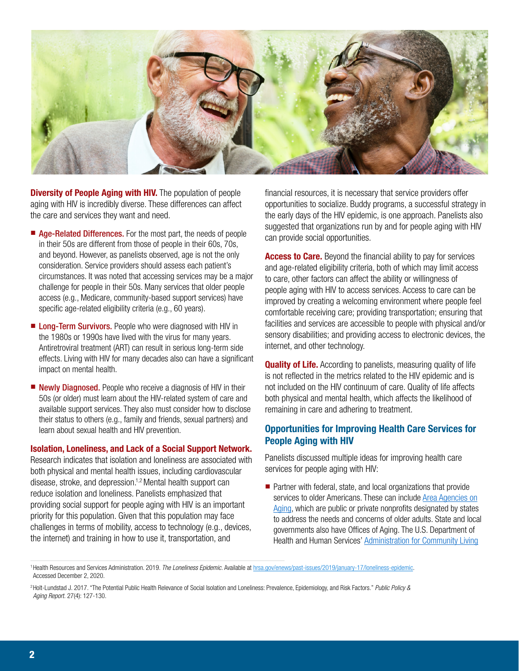

**Diversity of People Aging with HIV.** The population of people aging with HIV is incredibly diverse. These differences can affect the care and services they want and need.

- Age-Related Differences. For the most part, the needs of people in their 50s are different from those of people in their 60s, 70s, and beyond. However, as panelists observed, age is not the only consideration. Service providers should assess each patient's circumstances. It was noted that accessing services may be a major challenge for people in their 50s. Many services that older people access (e.g., Medicare, community-based support services) have specific age-related eligibility criteria (e.g., 60 years).
- Long-Term Survivors. People who were diagnosed with HIV in the 1980s or 1990s have lived with the virus for many years. Antiretroviral treatment (ART) can result in serious long-term side effects. Living with HIV for many decades also can have a significant impact on mental health.
- Newly Diagnosed. People who receive a diagnosis of HIV in their 50s (or older) must learn about the HIV-related system of care and available support services. They also must consider how to disclose their status to others (e.g., family and friends, sexual partners) and learn about sexual health and HIV prevention.

#### Isolation, Loneliness, and Lack of a Social Support Network.

Research indicates that isolation and loneliness are associated with both physical and mental health issues, including cardiovascular disease, stroke, and depression.<sup>1,2</sup> Mental health support can reduce isolation and loneliness. Panelists emphasized that providing social support for people aging with HIV is an important priority for this population. Given that this population may face challenges in terms of mobility, access to technology (e.g., devices, the internet) and training in how to use it, transportation, and

financial resources, it is necessary that service providers offer opportunities to socialize. Buddy programs, a successful strategy in the early days of the HIV epidemic, is one approach. Panelists also suggested that organizations run by and for people aging with HIV can provide social opportunities.

Access to Care. Beyond the financial ability to pay for services and age-related eligibility criteria, both of which may limit access to care, other factors can affect the ability or willingness of people aging with HIV to access services. Access to care can be improved by creating a welcoming environment where people feel comfortable receiving care; providing transportation; ensuring that facilities and services are accessible to people with physical and/or sensory disabilities; and providing access to electronic devices, the internet, and other technology.

**Quality of Life.** According to panelists, measuring quality of life is not reflected in the metrics related to the HIV epidemic and is not included on the HIV continuum of care. Quality of life affects both physical and mental health, which affects the likelihood of remaining in care and adhering to treatment.

## Opportunities for Improving Health Care Services for People Aging with HIV

Panelists discussed multiple ideas for improving health care services for people aging with HIV:

■ Partner with federal, state, and local organizations that provide services to older Americans. These can include [Area Agencies on](https://acl.gov/programs/aging-and-disability-networks/area-agencies-aging) [Aging,](https://acl.gov/programs/aging-and-disability-networks/area-agencies-aging) which are public or private nonprofits designated by states to address the needs and concerns of older adults. State and local governments also have Offices of Aging. The U.S. Department of Health and Human Services' [Administration for Community Living](https://acl.gov/)

<sup>1</sup>Health Resources and Services Administration. 2019. *The Loneliness Epidemic.* Available at [hrsa.gov/enews/past-issues/2019/january-17/loneliness-epidemic](https://www.hrsa.gov/enews/past-issues/2019/january-17/loneliness-epidemic). Accessed December 2, 2020.

<sup>2</sup>Holt-Lundstad J. 2017. "The Potential Public Health Relevance of Social Isolation and Loneliness: Prevalence, Epidemiology, and Risk Factors." *Public Policy & Aging Report.* 27(4): 127-130.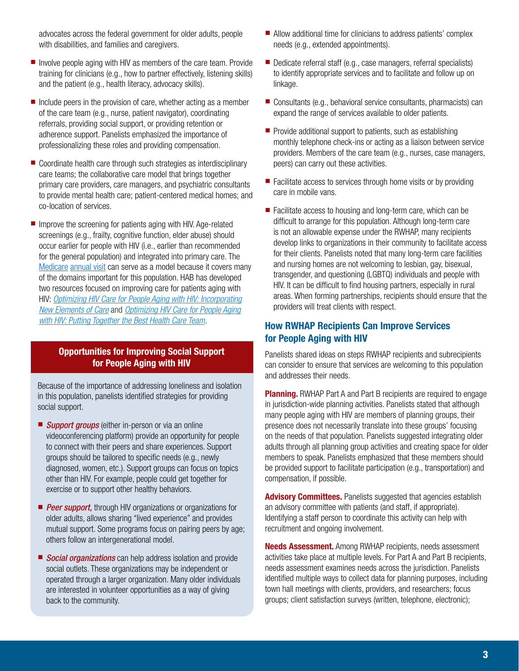advocates across the federal government for older adults, people with disabilities, and families and caregivers.

- Involve people aging with HIV as members of the care team. Provide training for clinicians (e.g., how to partner effectively, listening skills) and the patient (e.g., health literacy, advocacy skills).
- Include peers in the provision of care, whether acting as a member of the care team (e.g., nurse, patient navigator), coordinating referrals, providing social support, or providing retention or adherence support. Panelists emphasized the importance of professionalizing these roles and providing compensation.
- Coordinate health care through such strategies as interdisciplinary care teams; the collaborative care model that brings together primary care providers, care managers, and psychiatric consultants to provide mental health care; patient-centered medical homes; and co-location of services.
- Improve the screening for patients aging with HIV. Age-related screenings (e.g., frailty, cognitive function, elder abuse) should occur earlier for people with HIV (i.e., earlier than recommended for the general population) and integrated into primary care. The [Medicare annual visit](https://www.medicare.gov/coverage/yearly-wellness-visits) can serve as a model because it covers many of the domains important for this population. HAB has developed two resources focused on improving care for patients aging with HIV: *[Optimizing HIV Care for People Aging with HIV: Incorporating](https://hab.hrsa.gov/sites/default/files/hab/clinical-quality-management/aging-guide-new-elements.pdf)  [New Elements of Care](https://hab.hrsa.gov/sites/default/files/hab/clinical-quality-management/aging-guide-new-elements.pdf)* and *[Optimizing HIV Care for People Aging](https://hab.hrsa.gov/sites/default/files/hab/clinical-quality-management/aging-guide-best-team.pdf)  [with HIV: Putting Together the Best Health Care Team.](https://hab.hrsa.gov/sites/default/files/hab/clinical-quality-management/aging-guide-best-team.pdf)*

#### Opportunities for Improving Social Support for People Aging with HIV

Because of the importance of addressing loneliness and isolation in this population, panelists identified strategies for providing social support.

- *Support groups* (either in-person or via an online videoconferencing platform) provide an opportunity for people to connect with their peers and share experiences. Support groups should be tailored to specific needs (e.g., newly diagnosed, women, etc.). Support groups can focus on topics other than HIV. For example, people could get together for exercise or to support other healthy behaviors.
- **Peer support,** through HIV organizations or organizations for older adults, allows sharing "lived experience" and provides mutual support. Some programs focus on pairing peers by age; others follow an intergenerational model.
- *Social organizations* can help address isolation and provide social outlets. These organizations may be independent or operated through a larger organization. Many older individuals are interested in volunteer opportunities as a way of giving back to the community.
- Allow additional time for clinicians to address patients' complex needs (e.g., extended appointments).
- Dedicate referral staff (e.g., case managers, referral specialists) to identify appropriate services and to facilitate and follow up on linkage.
- Consultants (e.g., behavioral service consultants, pharmacists) can expand the range of services available to older patients.
- Provide additional support to patients, such as establishing monthly telephone check-ins or acting as a liaison between service providers. Members of the care team (e.g., nurses, case managers, peers) can carry out these activities.
- Facilitate access to services through home visits or by providing care in mobile vans.
- Facilitate access to housing and long-term care, which can be difficult to arrange for this population. Although long-term care is not an allowable expense under the RWHAP, many recipients develop links to organizations in their community to facilitate access for their clients. Panelists noted that many long-term care facilities and nursing homes are not welcoming to lesbian, gay, bisexual, transgender, and questioning (LGBTQ) individuals and people with HIV. It can be difficult to find housing partners, especially in rural areas. When forming partnerships, recipients should ensure that the providers will treat clients with respect.

### How RWHAP Recipients Can Improve Services for People Aging with HIV

Panelists shared ideas on steps RWHAP recipients and subrecipients can consider to ensure that services are welcoming to this population and addresses their needs.

**Planning.** RWHAP Part A and Part B recipients are required to engage in jurisdiction-wide planning activities. Panelists stated that although many people aging with HIV are members of planning groups, their presence does not necessarily translate into these groups' focusing on the needs of that population. Panelists suggested integrating older adults through all planning group activities and creating space for older members to speak. Panelists emphasized that these members should be provided support to facilitate participation (e.g., transportation) and compensation, if possible.

**Advisory Committees.** Panelists suggested that agencies establish an advisory committee with patients (and staff, if appropriate). Identifying a staff person to coordinate this activity can help with recruitment and ongoing involvement.

**Needs Assessment.** Among RWHAP recipients, needs assessment activities take place at multiple levels. For Part A and Part B recipients, needs assessment examines needs across the jurisdiction. Panelists identified multiple ways to collect data for planning purposes, including town hall meetings with clients, providers, and researchers; focus groups; client satisfaction surveys (written, telephone, electronic);